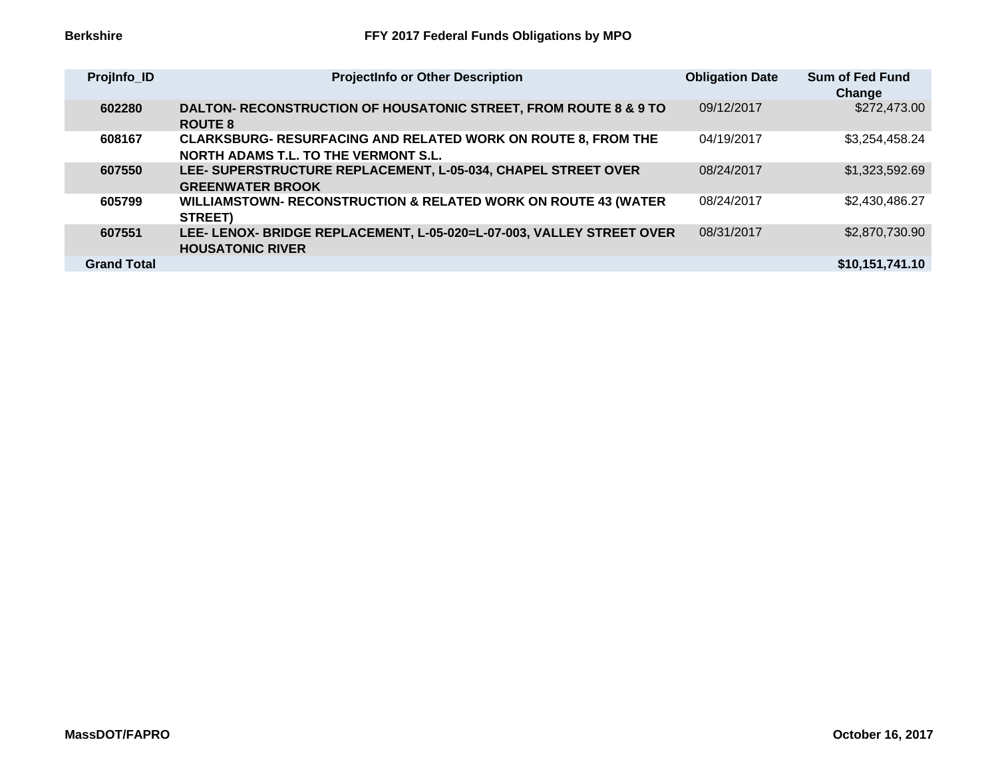| Projinfo_ID        | <b>ProjectInfo or Other Description</b>                                                                             | <b>Obligation Date</b> | <b>Sum of Fed Fund</b><br>Change |
|--------------------|---------------------------------------------------------------------------------------------------------------------|------------------------|----------------------------------|
| 602280             | <b>DALTON- RECONSTRUCTION OF HOUSATONIC STREET, FROM ROUTE 8 &amp; 9 TO</b><br><b>ROUTE 8</b>                       | 09/12/2017             | \$272,473.00                     |
| 608167             | <b>CLARKSBURG- RESURFACING AND RELATED WORK ON ROUTE 8, FROM THE</b><br><b>NORTH ADAMS T.L. TO THE VERMONT S.L.</b> | 04/19/2017             | \$3,254,458.24                   |
| 607550             | LEE- SUPERSTRUCTURE REPLACEMENT, L-05-034, CHAPEL STREET OVER<br><b>GREENWATER BROOK</b>                            | 08/24/2017             | \$1,323,592.69                   |
| 605799             | WILLIAMSTOWN- RECONSTRUCTION & RELATED WORK ON ROUTE 43 (WATER<br>STREET)                                           | 08/24/2017             | \$2,430,486.27                   |
| 607551             | LEE- LENOX- BRIDGE REPLACEMENT, L-05-020=L-07-003, VALLEY STREET OVER<br><b>HOUSATONIC RIVER</b>                    | 08/31/2017             | \$2,870,730.90                   |
| <b>Grand Total</b> |                                                                                                                     |                        | \$10,151,741.10                  |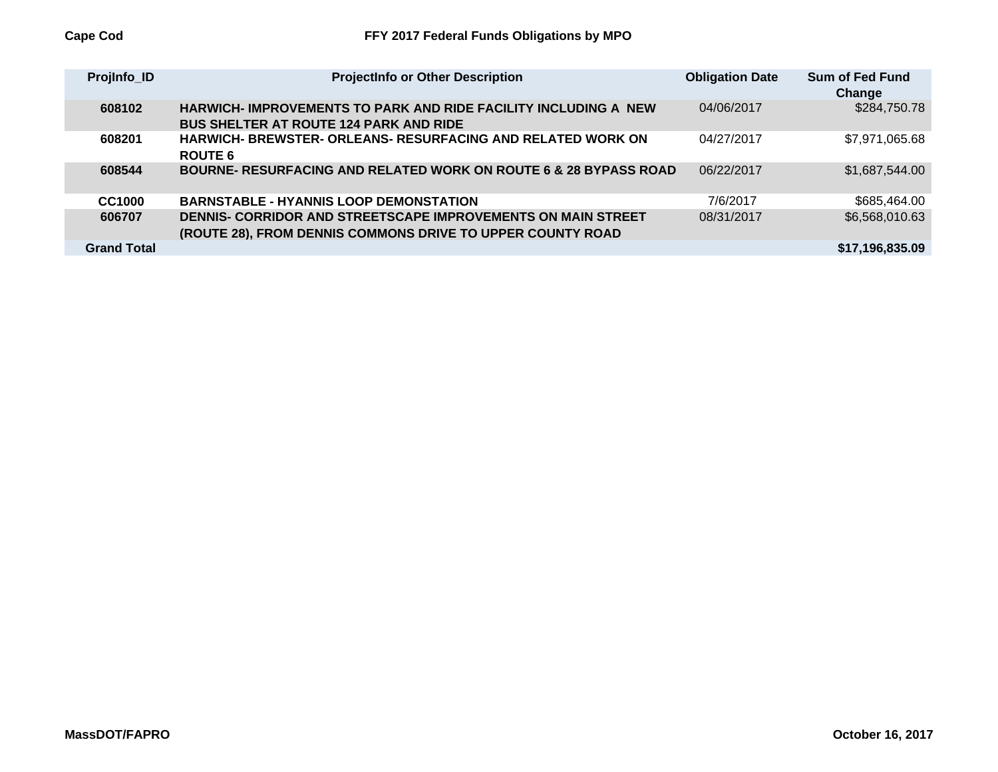| Projinfo_ID        | <b>ProjectInfo or Other Description</b>                                                                                    | <b>Obligation Date</b> | Sum of Fed Fund<br>Change |
|--------------------|----------------------------------------------------------------------------------------------------------------------------|------------------------|---------------------------|
| 608102             | <b>HARWICH-IMPROVEMENTS TO PARK AND RIDE FACILITY INCLUDING A NEW</b><br><b>BUS SHELTER AT ROUTE 124 PARK AND RIDE</b>     | 04/06/2017             | \$284,750.78              |
| 608201             | <b>HARWICH- BREWSTER- ORLEANS- RESURFACING AND RELATED WORK ON</b><br><b>ROUTE 6</b>                                       | 04/27/2017             | \$7,971,065.68            |
| 608544             | <b>BOURNE- RESURFACING AND RELATED WORK ON ROUTE 6 &amp; 28 BYPASS ROAD</b>                                                | 06/22/2017             | \$1,687,544.00            |
| CC1000             | <b>BARNSTABLE - HYANNIS LOOP DEMONSTATION</b>                                                                              | 7/6/2017               | \$685,464.00              |
| 606707             | DENNIS- CORRIDOR AND STREETSCAPE IMPROVEMENTS ON MAIN STREET<br>(ROUTE 28), FROM DENNIS COMMONS DRIVE TO UPPER COUNTY ROAD | 08/31/2017             | \$6,568,010.63            |
| <b>Grand Total</b> |                                                                                                                            |                        | \$17.196.835.09           |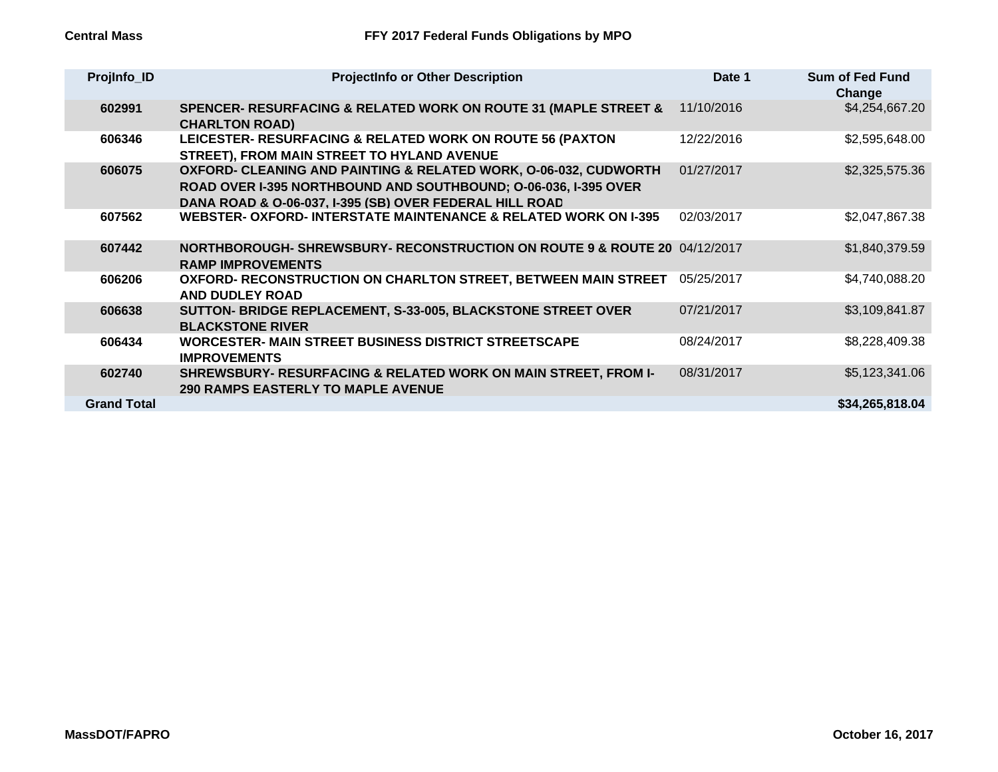| ProjInfo_ID        | <b>ProjectInfo or Other Description</b>                                                                                                                                                        | Date 1     | <b>Sum of Fed Fund</b><br>Change |
|--------------------|------------------------------------------------------------------------------------------------------------------------------------------------------------------------------------------------|------------|----------------------------------|
| 602991             | SPENCER- RESURFACING & RELATED WORK ON ROUTE 31 (MAPLE STREET &<br><b>CHARLTON ROAD)</b>                                                                                                       | 11/10/2016 | \$4,254,667.20                   |
| 606346             | LEICESTER- RESURFACING & RELATED WORK ON ROUTE 56 (PAXTON<br>STREET), FROM MAIN STREET TO HYLAND AVENUE                                                                                        | 12/22/2016 | \$2,595,648.00                   |
| 606075             | OXFORD- CLEANING AND PAINTING & RELATED WORK, 0-06-032, CUDWORTH<br>ROAD OVER I-395 NORTHBOUND AND SOUTHBOUND; O-06-036, I-395 OVER<br>DANA ROAD & O-06-037, I-395 (SB) OVER FEDERAL HILL ROAD | 01/27/2017 | \$2,325,575.36                   |
| 607562             | WEBSTER- OXFORD- INTERSTATE MAINTENANCE & RELATED WORK ON 1-395                                                                                                                                | 02/03/2017 | \$2,047,867.38                   |
| 607442             | <b>NORTHBOROUGH- SHREWSBURY- RECONSTRUCTION ON ROUTE 9 &amp; ROUTE 20</b> 04/12/2017<br><b>RAMP IMPROVEMENTS</b>                                                                               |            | \$1,840,379.59                   |
| 606206             | OXFORD- RECONSTRUCTION ON CHARLTON STREET, BETWEEN MAIN STREET<br><b>AND DUDLEY ROAD</b>                                                                                                       | 05/25/2017 | \$4,740,088.20                   |
| 606638             | SUTTON- BRIDGE REPLACEMENT, S-33-005, BLACKSTONE STREET OVER<br><b>BLACKSTONE RIVER</b>                                                                                                        | 07/21/2017 | \$3,109,841.87                   |
| 606434             | <b>WORCESTER- MAIN STREET BUSINESS DISTRICT STREETSCAPE</b><br><b>IMPROVEMENTS</b>                                                                                                             | 08/24/2017 | \$8,228,409.38                   |
| 602740             | SHREWSBURY- RESURFACING & RELATED WORK ON MAIN STREET, FROM I-<br><b>290 RAMPS EASTERLY TO MAPLE AVENUE</b>                                                                                    | 08/31/2017 | \$5,123,341.06                   |
| <b>Grand Total</b> |                                                                                                                                                                                                |            | \$34,265,818.04                  |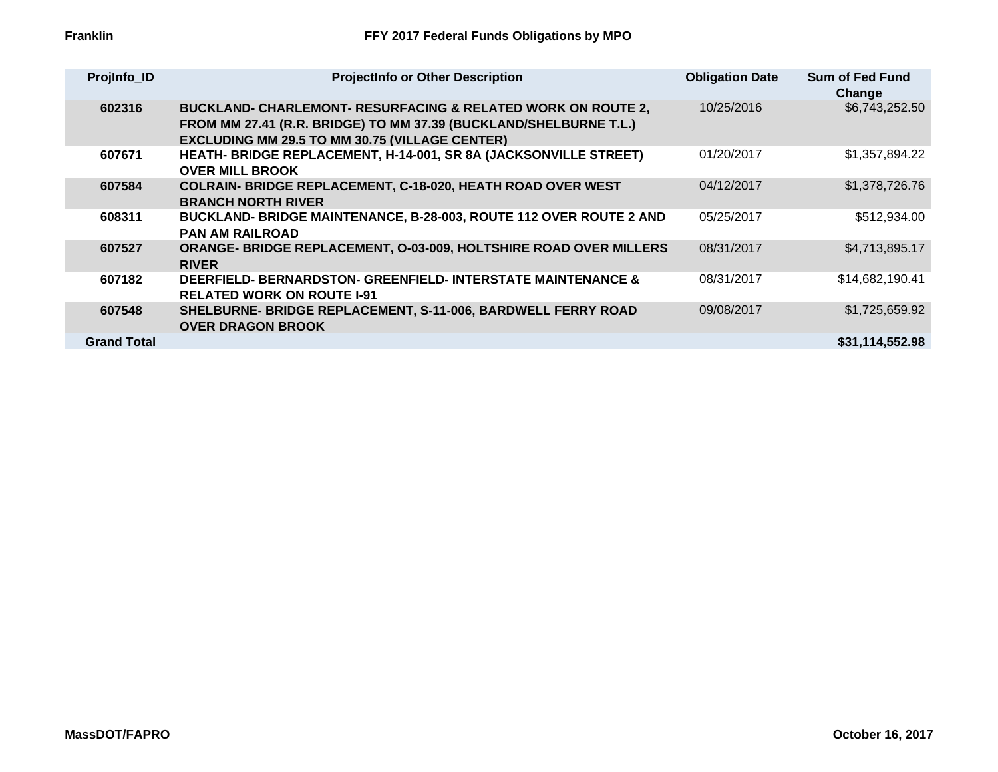| ProjInfo_ID        | <b>ProjectInfo or Other Description</b>                                                                                                                                                               | <b>Obligation Date</b> | <b>Sum of Fed Fund</b><br>Change |
|--------------------|-------------------------------------------------------------------------------------------------------------------------------------------------------------------------------------------------------|------------------------|----------------------------------|
| 602316             | <b>BUCKLAND- CHARLEMONT- RESURFACING &amp; RELATED WORK ON ROUTE 2,</b><br>FROM MM 27.41 (R.R. BRIDGE) TO MM 37.39 (BUCKLAND/SHELBURNE T.L.)<br><b>EXCLUDING MM 29.5 TO MM 30.75 (VILLAGE CENTER)</b> | 10/25/2016             | \$6,743,252.50                   |
| 607671             | HEATH-BRIDGE REPLACEMENT, H-14-001, SR 8A (JACKSONVILLE STREET)<br><b>OVER MILL BROOK</b>                                                                                                             | 01/20/2017             | \$1,357,894.22                   |
| 607584             | <b>COLRAIN- BRIDGE REPLACEMENT, C-18-020, HEATH ROAD OVER WEST</b><br><b>BRANCH NORTH RIVER</b>                                                                                                       | 04/12/2017             | \$1,378,726.76                   |
| 608311             | BUCKLAND- BRIDGE MAINTENANCE, B-28-003, ROUTE 112 OVER ROUTE 2 AND<br><b>PAN AM RAILROAD</b>                                                                                                          | 05/25/2017             | \$512,934.00                     |
| 607527             | <b>ORANGE- BRIDGE REPLACEMENT, O-03-009, HOLTSHIRE ROAD OVER MILLERS</b><br><b>RIVER</b>                                                                                                              | 08/31/2017             | \$4,713,895.17                   |
| 607182             | <b>DEERFIELD- BERNARDSTON- GREENFIELD- INTERSTATE MAINTENANCE &amp;</b><br><b>RELATED WORK ON ROUTE I-91</b>                                                                                          | 08/31/2017             | \$14,682,190.41                  |
| 607548             | SHELBURNE- BRIDGE REPLACEMENT, S-11-006, BARDWELL FERRY ROAD<br><b>OVER DRAGON BROOK</b>                                                                                                              | 09/08/2017             | \$1,725,659.92                   |
| <b>Grand Total</b> |                                                                                                                                                                                                       |                        | \$31,114,552.98                  |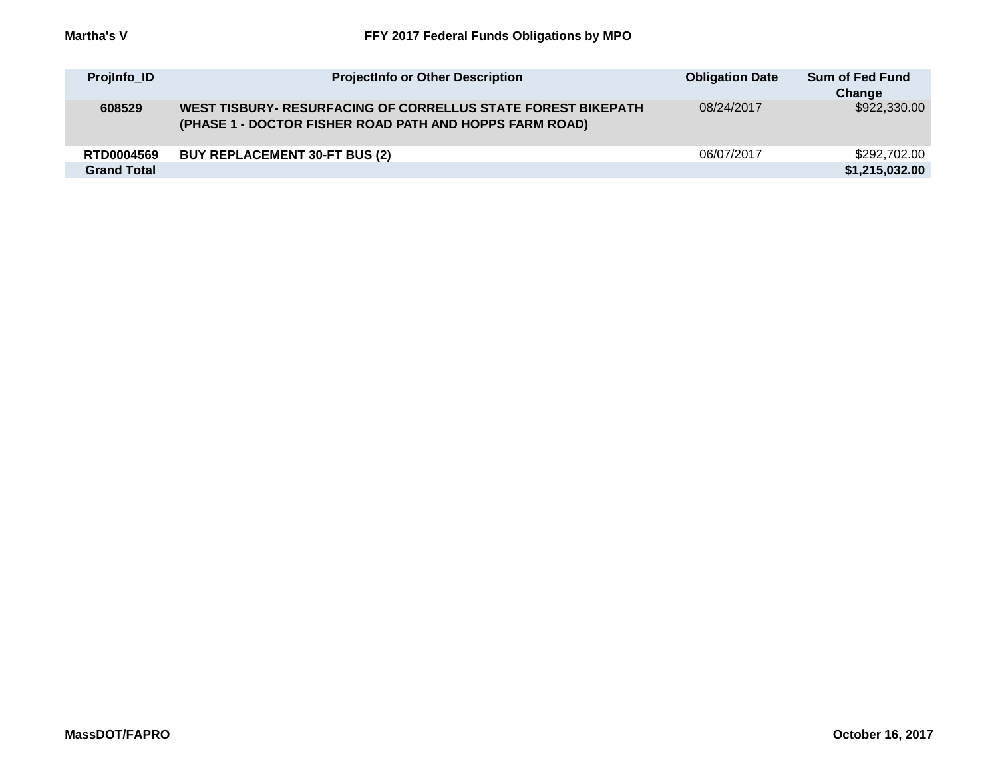| <b>Projinfo_ID</b> | <b>ProjectInfo or Other Description</b>                                                                                 | <b>Obligation Date</b> | Sum of Fed Fund<br>Change |
|--------------------|-------------------------------------------------------------------------------------------------------------------------|------------------------|---------------------------|
| 608529             | WEST TISBURY- RESURFACING OF CORRELLUS STATE FOREST BIKEPATH<br>(PHASE 1 - DOCTOR FISHER ROAD PATH AND HOPPS FARM ROAD) | 08/24/2017             | \$922,330.00              |
| <b>RTD0004569</b>  | <b>BUY REPLACEMENT 30-FT BUS (2)</b>                                                                                    | 06/07/2017             | \$292,702.00              |
| <b>Grand Total</b> |                                                                                                                         |                        | \$1,215,032.00            |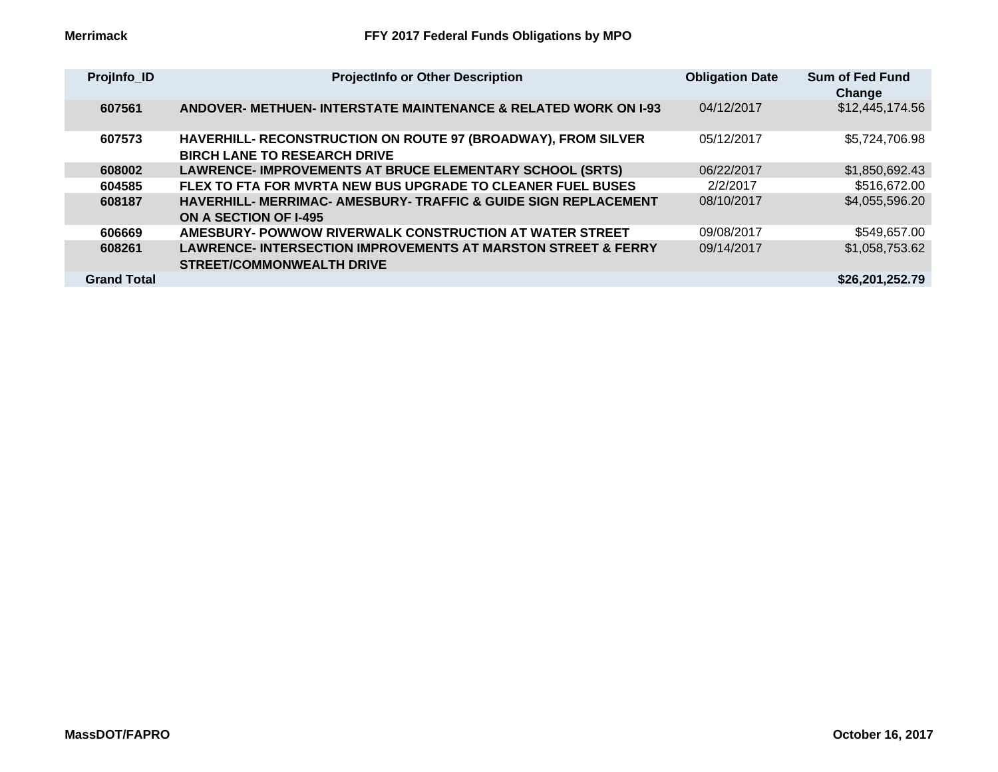| ProjInfo_ID        | <b>ProjectInfo or Other Description</b>                                                                      | <b>Obligation Date</b> | <b>Sum of Fed Fund</b><br>Change |
|--------------------|--------------------------------------------------------------------------------------------------------------|------------------------|----------------------------------|
| 607561             | ANDOVER- METHUEN- INTERSTATE MAINTENANCE & RELATED WORK ON 1-93                                              | 04/12/2017             | \$12,445,174.56                  |
| 607573             | HAVERHILL- RECONSTRUCTION ON ROUTE 97 (BROADWAY), FROM SILVER<br><b>BIRCH LANE TO RESEARCH DRIVE</b>         | 05/12/2017             | \$5,724,706.98                   |
| 608002             | LAWRENCE- IMPROVEMENTS AT BRUCE ELEMENTARY SCHOOL (SRTS)                                                     | 06/22/2017             | \$1,850,692.43                   |
| 604585             | FLEX TO FTA FOR MVRTA NEW BUS UPGRADE TO CLEANER FUEL BUSES                                                  | 2/2/2017               | \$516,672.00                     |
| 608187             | <b>HAVERHILL- MERRIMAC- AMESBURY- TRAFFIC &amp; GUIDE SIGN REPLACEMENT</b><br><b>ON A SECTION OF I-495</b>   | 08/10/2017             | \$4,055,596.20                   |
| 606669             | AMESBURY- POWWOW RIVERWALK CONSTRUCTION AT WATER STREET                                                      | 09/08/2017             | \$549,657.00                     |
| 608261             | <b>LAWRENCE- INTERSECTION IMPROVEMENTS AT MARSTON STREET &amp; FERRY</b><br><b>STREET/COMMONWEALTH DRIVE</b> | 09/14/2017             | \$1,058,753.62                   |
| <b>Grand Total</b> |                                                                                                              |                        | \$26,201,252.79                  |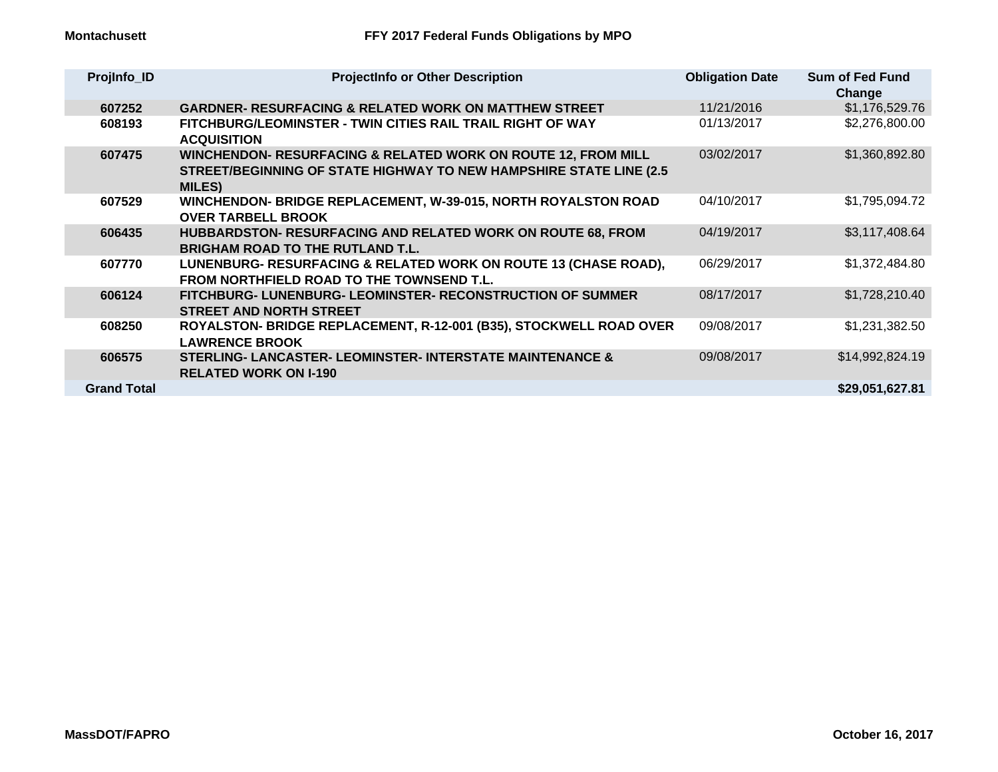| ProjInfo_ID        | <b>ProjectInfo or Other Description</b>                                                                                                                                | <b>Obligation Date</b> | <b>Sum of Fed Fund</b><br>Change |
|--------------------|------------------------------------------------------------------------------------------------------------------------------------------------------------------------|------------------------|----------------------------------|
| 607252             | <b>GARDNER- RESURFACING &amp; RELATED WORK ON MATTHEW STREET</b>                                                                                                       | 11/21/2016             | \$1,176,529.76                   |
| 608193             | <b>FITCHBURG/LEOMINSTER - TWIN CITIES RAIL TRAIL RIGHT OF WAY</b><br><b>ACQUISITION</b>                                                                                | 01/13/2017             | \$2,276,800.00                   |
| 607475             | <b>WINCHENDON- RESURFACING &amp; RELATED WORK ON ROUTE 12, FROM MILL</b><br><b>STREET/BEGINNING OF STATE HIGHWAY TO NEW HAMPSHIRE STATE LINE (2.5)</b><br><b>MILES</b> | 03/02/2017             | \$1,360,892.80                   |
| 607529             | WINCHENDON- BRIDGE REPLACEMENT, W-39-015, NORTH ROYALSTON ROAD<br><b>OVER TARBELL BROOK</b>                                                                            | 04/10/2017             | \$1,795,094.72                   |
| 606435             | <b>HUBBARDSTON- RESURFACING AND RELATED WORK ON ROUTE 68, FROM</b><br><b>BRIGHAM ROAD TO THE RUTLAND T.L.</b>                                                          | 04/19/2017             | \$3,117,408.64                   |
| 607770             | LUNENBURG- RESURFACING & RELATED WORK ON ROUTE 13 (CHASE ROAD),<br><b>FROM NORTHFIELD ROAD TO THE TOWNSEND T.L.</b>                                                    | 06/29/2017             | \$1,372,484.80                   |
| 606124             | FITCHBURG- LUNENBURG- LEOMINSTER- RECONSTRUCTION OF SUMMER<br><b>STREET AND NORTH STREET</b>                                                                           | 08/17/2017             | \$1,728,210.40                   |
| 608250             | ROYALSTON- BRIDGE REPLACEMENT, R-12-001 (B35), STOCKWELL ROAD OVER<br><b>LAWRENCE BROOK</b>                                                                            | 09/08/2017             | \$1,231,382.50                   |
| 606575             | <b>STERLING- LANCASTER- LEOMINSTER- INTERSTATE MAINTENANCE &amp;</b><br><b>RELATED WORK ON I-190</b>                                                                   | 09/08/2017             | \$14,992,824.19                  |
| <b>Grand Total</b> |                                                                                                                                                                        |                        | \$29,051,627.81                  |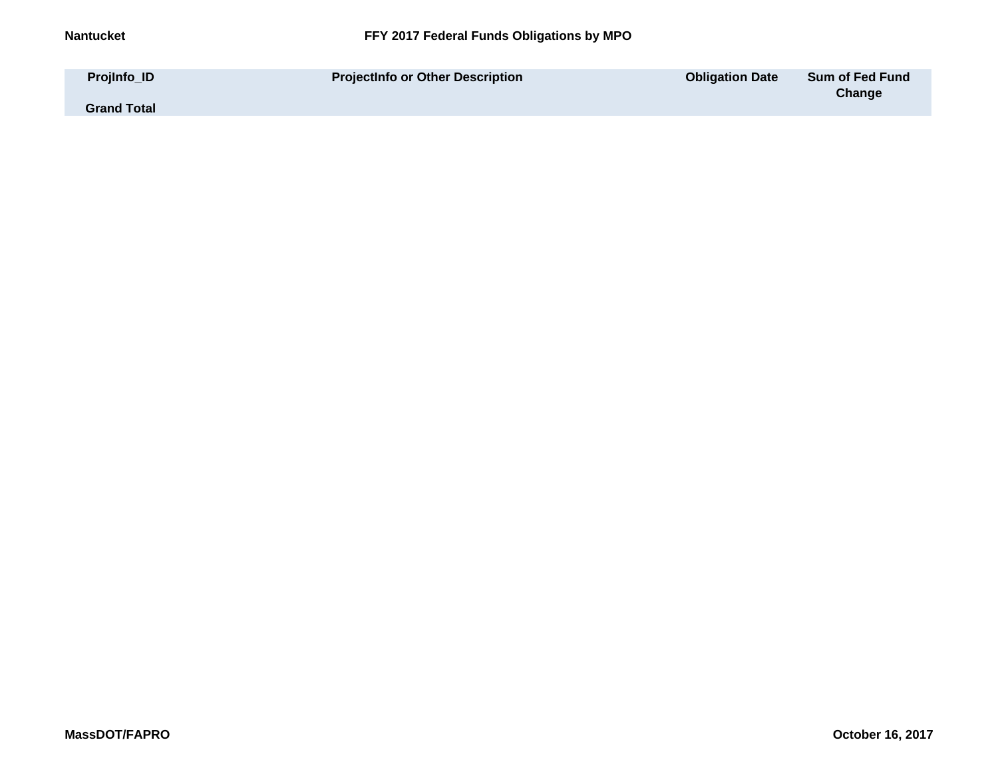| Projinfo_ID        | <b>ProjectInfo or Other Description</b> | <b>Obligation Date</b> | <b>Sum of Fed Fund</b> |
|--------------------|-----------------------------------------|------------------------|------------------------|
| <b>Grand Total</b> |                                         |                        | Change                 |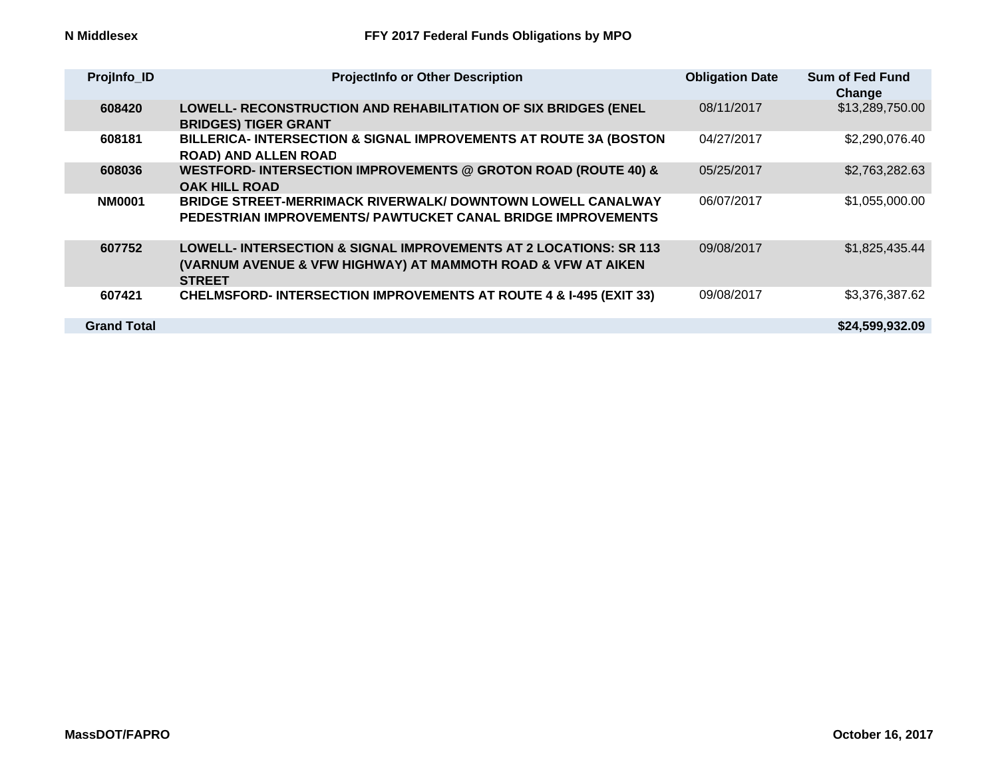| ProjInfo_ID        | <b>ProjectInfo or Other Description</b>                                                                                                            | <b>Obligation Date</b> | <b>Sum of Fed Fund</b><br>Change |
|--------------------|----------------------------------------------------------------------------------------------------------------------------------------------------|------------------------|----------------------------------|
| 608420             | LOWELL- RECONSTRUCTION AND REHABILITATION OF SIX BRIDGES (ENEL<br><b>BRIDGES) TIGER GRANT</b>                                                      | 08/11/2017             | \$13,289,750.00                  |
| 608181             | BILLERICA- INTERSECTION & SIGNAL IMPROVEMENTS AT ROUTE 3A (BOSTON<br><b>ROAD) AND ALLEN ROAD</b>                                                   | 04/27/2017             | \$2,290,076.40                   |
| 608036             | WESTFORD- INTERSECTION IMPROVEMENTS @ GROTON ROAD (ROUTE 40) &<br><b>OAK HILL ROAD</b>                                                             | 05/25/2017             | \$2,763,282.63                   |
| <b>NM0001</b>      | BRIDGE STREET-MERRIMACK RIVERWALK/ DOWNTOWN LOWELL CANALWAY<br>PEDESTRIAN IMPROVEMENTS/ PAWTUCKET CANAL BRIDGE IMPROVEMENTS                        | 06/07/2017             | \$1,055,000.00                   |
| 607752             | LOWELL- INTERSECTION & SIGNAL IMPROVEMENTS AT 2 LOCATIONS: SR 113<br>(VARNUM AVENUE & VFW HIGHWAY) AT MAMMOTH ROAD & VFW AT AIKEN<br><b>STREET</b> | 09/08/2017             | \$1,825,435.44                   |
| 607421             | <b>CHELMSFORD-INTERSECTION IMPROVEMENTS AT ROUTE 4 &amp; I-495 (EXIT 33)</b>                                                                       | 09/08/2017             | \$3,376,387.62                   |
| <b>Grand Total</b> |                                                                                                                                                    |                        | \$24,599,932.09                  |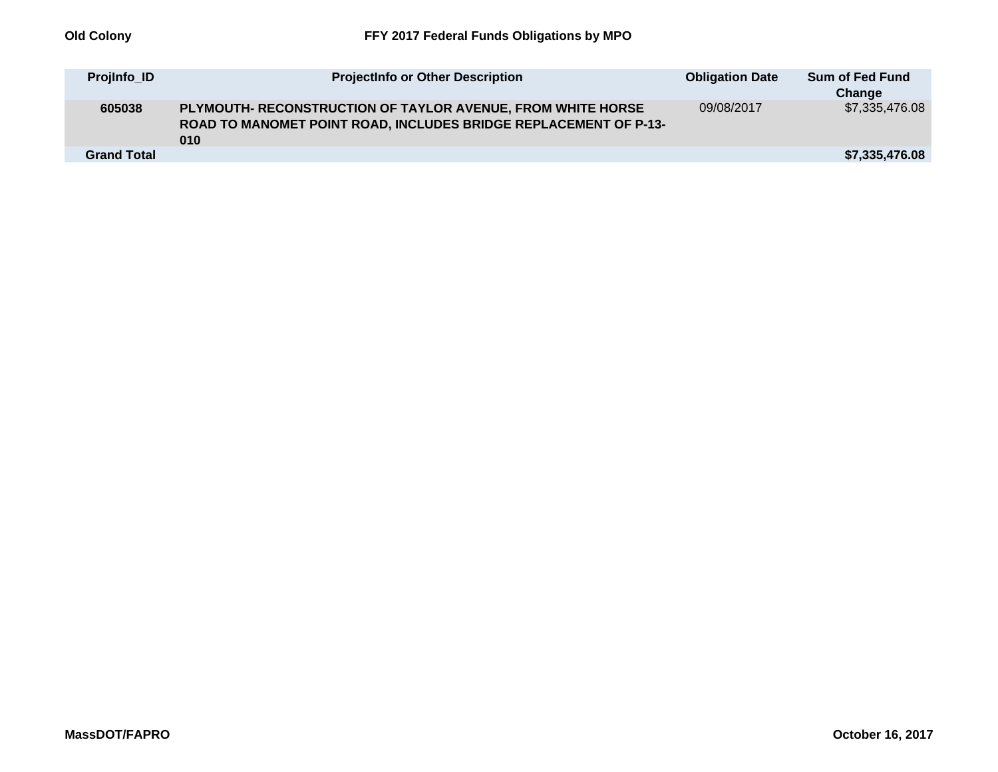| Projinfo ID        | <b>ProjectInfo or Other Description</b>                                                                                                | <b>Obligation Date</b> | <b>Sum of Fed Fund</b><br>Change |
|--------------------|----------------------------------------------------------------------------------------------------------------------------------------|------------------------|----------------------------------|
| 605038             | PLYMOUTH- RECONSTRUCTION OF TAYLOR AVENUE, FROM WHITE HORSE<br>ROAD TO MANOMET POINT ROAD, INCLUDES BRIDGE REPLACEMENT OF P-13-<br>010 | 09/08/2017             | \$7,335,476.08                   |
| <b>Grand Total</b> |                                                                                                                                        |                        | \$7,335,476.08                   |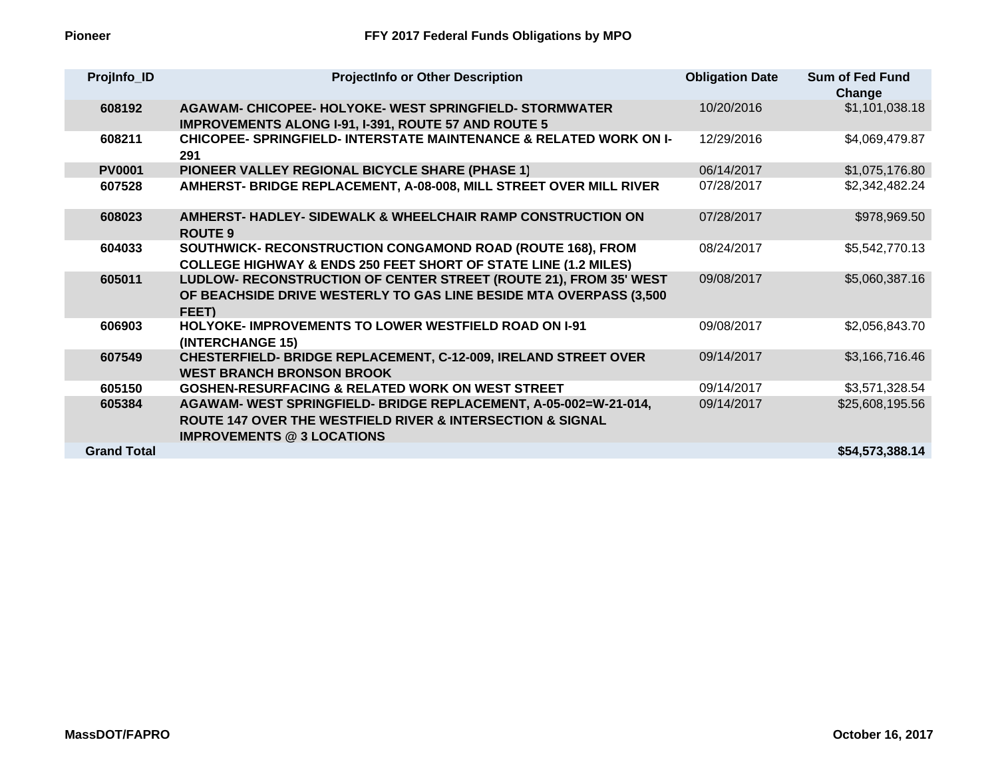| ProjInfo_ID        | <b>ProjectInfo or Other Description</b>                                                                                                                                            | <b>Obligation Date</b> | <b>Sum of Fed Fund</b><br>Change |
|--------------------|------------------------------------------------------------------------------------------------------------------------------------------------------------------------------------|------------------------|----------------------------------|
| 608192             | AGAWAM- CHICOPEE- HOLYOKE- WEST SPRINGFIELD- STORMWATER<br><b>IMPROVEMENTS ALONG I-91, I-391, ROUTE 57 AND ROUTE 5</b>                                                             | 10/20/2016             | \$1,101,038.18                   |
| 608211             | <b>CHICOPEE- SPRINGFIELD- INTERSTATE MAINTENANCE &amp; RELATED WORK ON I-</b><br>291                                                                                               | 12/29/2016             | \$4,069,479.87                   |
| <b>PV0001</b>      | PIONEER VALLEY REGIONAL BICYCLE SHARE (PHASE 1)                                                                                                                                    | 06/14/2017             | \$1,075,176.80                   |
| 607528             | AMHERST- BRIDGE REPLACEMENT, A-08-008, MILL STREET OVER MILL RIVER                                                                                                                 | 07/28/2017             | \$2,342,482.24                   |
| 608023             | AMHERST- HADLEY- SIDEWALK & WHEELCHAIR RAMP CONSTRUCTION ON<br><b>ROUTE 9</b>                                                                                                      | 07/28/2017             | \$978,969.50                     |
| 604033             | SOUTHWICK- RECONSTRUCTION CONGAMOND ROAD (ROUTE 168), FROM<br><b>COLLEGE HIGHWAY &amp; ENDS 250 FEET SHORT OF STATE LINE (1.2 MILES)</b>                                           | 08/24/2017             | \$5,542,770.13                   |
| 605011             | LUDLOW- RECONSTRUCTION OF CENTER STREET (ROUTE 21), FROM 35' WEST<br>OF BEACHSIDE DRIVE WESTERLY TO GAS LINE BESIDE MTA OVERPASS (3,500<br>FEET)                                   | 09/08/2017             | \$5,060,387.16                   |
| 606903             | <b>HOLYOKE- IMPROVEMENTS TO LOWER WESTFIELD ROAD ON 1-91</b><br>(INTERCHANGE 15)                                                                                                   | 09/08/2017             | \$2,056,843.70                   |
| 607549             | <b>CHESTERFIELD- BRIDGE REPLACEMENT, C-12-009, IRELAND STREET OVER</b><br><b>WEST BRANCH BRONSON BROOK</b>                                                                         | 09/14/2017             | \$3,166,716.46                   |
| 605150             | <b>GOSHEN-RESURFACING &amp; RELATED WORK ON WEST STREET</b>                                                                                                                        | 09/14/2017             | \$3,571,328.54                   |
| 605384             | AGAWAM- WEST SPRINGFIELD- BRIDGE REPLACEMENT, A-05-002=W-21-014,<br><b>ROUTE 147 OVER THE WESTFIELD RIVER &amp; INTERSECTION &amp; SIGNAL</b><br><b>IMPROVEMENTS @ 3 LOCATIONS</b> | 09/14/2017             | \$25,608,195.56                  |
| <b>Grand Total</b> |                                                                                                                                                                                    |                        | \$54,573,388.14                  |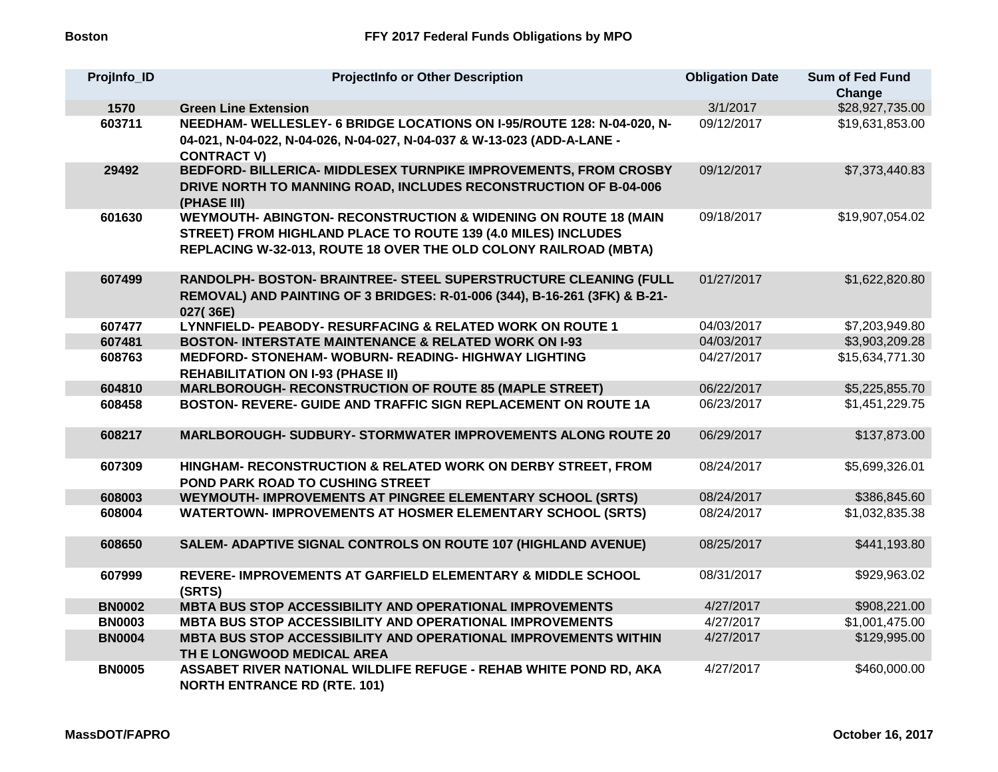| Projinfo ID   | <b>ProjectInfo or Other Description</b>                                                                                                                                                              | <b>Obligation Date</b> | <b>Sum of Fed Fund</b><br>Change |
|---------------|------------------------------------------------------------------------------------------------------------------------------------------------------------------------------------------------------|------------------------|----------------------------------|
| 1570          | <b>Green Line Extension</b>                                                                                                                                                                          | 3/1/2017               | \$28,927,735.00                  |
| 603711        | NEEDHAM- WELLESLEY- 6 BRIDGE LOCATIONS ON I-95/ROUTE 128: N-04-020, N-<br>04-021, N-04-022, N-04-026, N-04-027, N-04-037 & W-13-023 (ADD-A-LANE -<br><b>CONTRACT V)</b>                              | 09/12/2017             | \$19,631,853.00                  |
| 29492         | BEDFORD- BILLERICA- MIDDLESEX TURNPIKE IMPROVEMENTS, FROM CROSBY<br>DRIVE NORTH TO MANNING ROAD, INCLUDES RECONSTRUCTION OF B-04-006<br>(PHASE III)                                                  | 09/12/2017             | \$7,373,440.83                   |
| 601630        | WEYMOUTH- ABINGTON- RECONSTRUCTION & WIDENING ON ROUTE 18 (MAIN<br>STREET) FROM HIGHLAND PLACE TO ROUTE 139 (4.0 MILES) INCLUDES<br>REPLACING W-32-013, ROUTE 18 OVER THE OLD COLONY RAILROAD (MBTA) | 09/18/2017             | \$19,907,054.02                  |
| 607499        | RANDOLPH- BOSTON- BRAINTREE- STEEL SUPERSTRUCTURE CLEANING (FULL<br>REMOVAL) AND PAINTING OF 3 BRIDGES: R-01-006 (344), B-16-261 (3FK) & B-21-<br>027(36E)                                           | 01/27/2017             | \$1,622,820.80                   |
| 607477        | LYNNFIELD- PEABODY- RESURFACING & RELATED WORK ON ROUTE 1                                                                                                                                            | 04/03/2017             | \$7,203,949.80                   |
| 607481        | <b>BOSTON- INTERSTATE MAINTENANCE &amp; RELATED WORK ON I-93</b>                                                                                                                                     | 04/03/2017             | \$3,903,209.28                   |
| 608763        | MEDFORD- STONEHAM- WOBURN- READING- HIGHWAY LIGHTING<br><b>REHABILITATION ON I-93 (PHASE II)</b>                                                                                                     | 04/27/2017             | \$15,634,771.30                  |
| 604810        | <b>MARLBOROUGH- RECONSTRUCTION OF ROUTE 85 (MAPLE STREET)</b>                                                                                                                                        | 06/22/2017             | \$5,225,855.70                   |
| 608458        | BOSTON- REVERE- GUIDE AND TRAFFIC SIGN REPLACEMENT ON ROUTE 1A                                                                                                                                       | 06/23/2017             | \$1,451,229.75                   |
| 608217        | <b>MARLBOROUGH- SUDBURY- STORMWATER IMPROVEMENTS ALONG ROUTE 20</b>                                                                                                                                  | 06/29/2017             | \$137,873.00                     |
| 607309        | HINGHAM- RECONSTRUCTION & RELATED WORK ON DERBY STREET, FROM<br>POND PARK ROAD TO CUSHING STREET                                                                                                     | 08/24/2017             | \$5,699,326.01                   |
| 608003        | <b>WEYMOUTH- IMPROVEMENTS AT PINGREE ELEMENTARY SCHOOL (SRTS)</b>                                                                                                                                    | 08/24/2017             | \$386,845.60                     |
| 608004        | <b>WATERTOWN- IMPROVEMENTS AT HOSMER ELEMENTARY SCHOOL (SRTS)</b>                                                                                                                                    | 08/24/2017             | \$1,032,835.38                   |
| 608650        | SALEM- ADAPTIVE SIGNAL CONTROLS ON ROUTE 107 (HIGHLAND AVENUE)                                                                                                                                       | 08/25/2017             | \$441,193.80                     |
| 607999        | REVERE- IMPROVEMENTS AT GARFIELD ELEMENTARY & MIDDLE SCHOOL<br>(SRTS)                                                                                                                                | 08/31/2017             | \$929,963.02                     |
| <b>BN0002</b> | MBTA BUS STOP ACCESSIBILITY AND OPERATIONAL IMPROVEMENTS                                                                                                                                             | 4/27/2017              | \$908,221.00                     |
| <b>BN0003</b> | MBTA BUS STOP ACCESSIBILITY AND OPERATIONAL IMPROVEMENTS                                                                                                                                             | 4/27/2017              | \$1,001,475.00                   |
| <b>BN0004</b> | <b>MBTA BUS STOP ACCESSIBILITY AND OPERATIONAL IMPROVEMENTS WITHIN</b><br>TH E LONGWOOD MEDICAL AREA                                                                                                 | 4/27/2017              | \$129,995.00                     |
| <b>BN0005</b> | ASSABET RIVER NATIONAL WILDLIFE REFUGE - REHAB WHITE POND RD, AKA<br><b>NORTH ENTRANCE RD (RTE. 101)</b>                                                                                             | 4/27/2017              | \$460,000.00                     |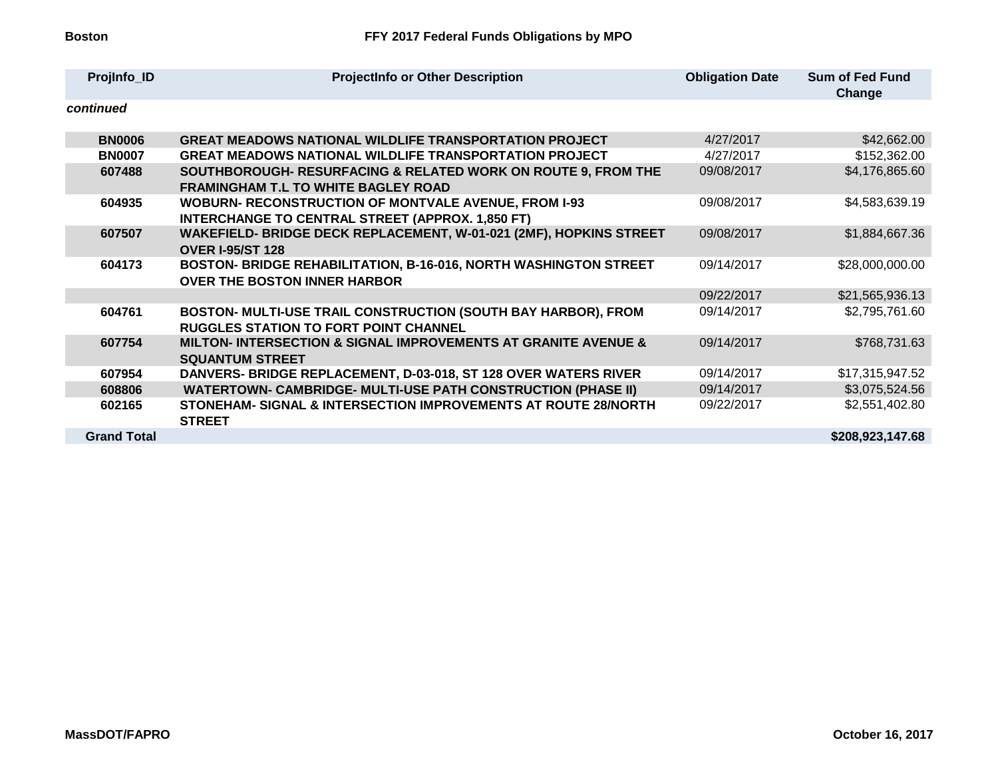| ProjInfo_ID        | <b>ProjectInfo or Other Description</b>                                                                                | <b>Obligation Date</b> | <b>Sum of Fed Fund</b><br>Change |
|--------------------|------------------------------------------------------------------------------------------------------------------------|------------------------|----------------------------------|
| continued          |                                                                                                                        |                        |                                  |
| <b>BN0006</b>      | <b>GREAT MEADOWS NATIONAL WILDLIFE TRANSPORTATION PROJECT</b>                                                          | 4/27/2017              | \$42,662.00                      |
| <b>BN0007</b>      | <b>GREAT MEADOWS NATIONAL WILDLIFE TRANSPORTATION PROJECT</b>                                                          | 4/27/2017              | \$152,362.00                     |
| 607488             | SOUTHBOROUGH- RESURFACING & RELATED WORK ON ROUTE 9, FROM THE<br><b>FRAMINGHAM T.L TO WHITE BAGLEY ROAD</b>            | 09/08/2017             | \$4,176,865.60                   |
| 604935             | <b>WOBURN- RECONSTRUCTION OF MONTVALE AVENUE, FROM I-93</b><br><b>INTERCHANGE TO CENTRAL STREET (APPROX. 1,850 FT)</b> | 09/08/2017             | \$4,583,639.19                   |
| 607507             | WAKEFIELD- BRIDGE DECK REPLACEMENT, W-01-021 (2MF), HOPKINS STREET<br><b>OVER I-95/ST 128</b>                          | 09/08/2017             | \$1,884,667.36                   |
| 604173             | BOSTON- BRIDGE REHABILITATION, B-16-016, NORTH WASHINGTON STREET<br><b>OVER THE BOSTON INNER HARBOR</b>                | 09/14/2017             | \$28,000,000.00                  |
|                    |                                                                                                                        | 09/22/2017             | \$21,565,936.13                  |
| 604761             | BOSTON- MULTI-USE TRAIL CONSTRUCTION (SOUTH BAY HARBOR), FROM<br><b>RUGGLES STATION TO FORT POINT CHANNEL</b>          | 09/14/2017             | \$2,795,761.60                   |
| 607754             | MILTON- INTERSECTION & SIGNAL IMPROVEMENTS AT GRANITE AVENUE &<br><b>SQUANTUM STREET</b>                               | 09/14/2017             | \$768,731.63                     |
| 607954             | DANVERS- BRIDGE REPLACEMENT, D-03-018, ST 128 OVER WATERS RIVER                                                        | 09/14/2017             | \$17,315,947.52                  |
| 608806             | <b>WATERTOWN- CAMBRIDGE- MULTI-USE PATH CONSTRUCTION (PHASE II)</b>                                                    | 09/14/2017             | \$3,075,524.56                   |
| 602165             | STONEHAM- SIGNAL & INTERSECTION IMPROVEMENTS AT ROUTE 28/NORTH<br><b>STREET</b>                                        | 09/22/2017             | \$2,551,402.80                   |
| <b>Grand Total</b> |                                                                                                                        |                        | \$208,923,147.68                 |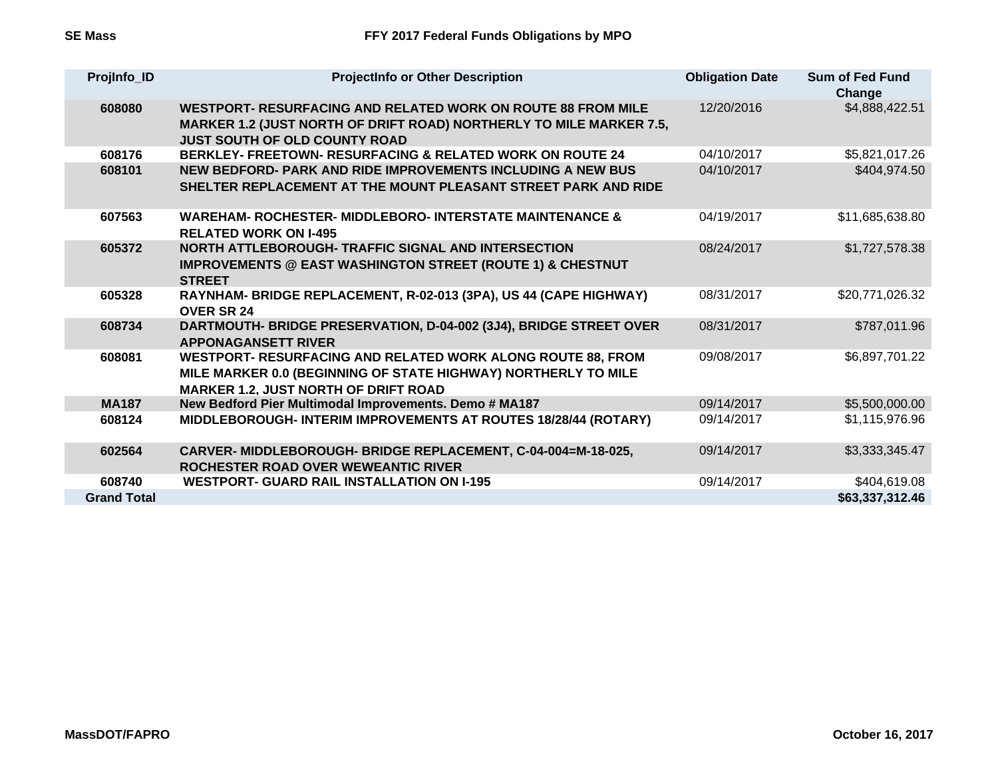| ProjInfo_ID        | <b>ProjectInfo or Other Description</b>                                                                                                                                            | <b>Obligation Date</b> | <b>Sum of Fed Fund</b><br>Change |
|--------------------|------------------------------------------------------------------------------------------------------------------------------------------------------------------------------------|------------------------|----------------------------------|
| 608080             | WESTPORT- RESURFACING AND RELATED WORK ON ROUTE 88 FROM MILE<br><b>MARKER 1.2 (JUST NORTH OF DRIFT ROAD) NORTHERLY TO MILE MARKER 7.5,</b><br><b>JUST SOUTH OF OLD COUNTY ROAD</b> | 12/20/2016             | \$4,888,422.51                   |
| 608176             | <b>BERKLEY- FREETOWN- RESURFACING &amp; RELATED WORK ON ROUTE 24</b>                                                                                                               | 04/10/2017             | \$5,821,017.26                   |
| 608101             | NEW BEDFORD- PARK AND RIDE IMPROVEMENTS INCLUDING A NEW BUS<br>SHELTER REPLACEMENT AT THE MOUNT PLEASANT STREET PARK AND RIDE                                                      | 04/10/2017             | \$404,974.50                     |
| 607563             | <b>WAREHAM- ROCHESTER- MIDDLEBORO- INTERSTATE MAINTENANCE &amp;</b><br><b>RELATED WORK ON I-495</b>                                                                                | 04/19/2017             | \$11,685,638.80                  |
| 605372             | <b>NORTH ATTLEBOROUGH- TRAFFIC SIGNAL AND INTERSECTION</b><br><b>IMPROVEMENTS @ EAST WASHINGTON STREET (ROUTE 1) &amp; CHESTNUT</b><br><b>STREET</b>                               | 08/24/2017             | \$1,727,578.38                   |
| 605328             | RAYNHAM- BRIDGE REPLACEMENT, R-02-013 (3PA), US 44 (CAPE HIGHWAY)<br><b>OVER SR 24</b>                                                                                             | 08/31/2017             | \$20,771,026.32                  |
| 608734             | DARTMOUTH- BRIDGE PRESERVATION, D-04-002 (3J4), BRIDGE STREET OVER<br><b>APPONAGANSETT RIVER</b>                                                                                   | 08/31/2017             | \$787,011.96                     |
| 608081             | WESTPORT- RESURFACING AND RELATED WORK ALONG ROUTE 88, FROM<br>MILE MARKER 0.0 (BEGINNING OF STATE HIGHWAY) NORTHERLY TO MILE<br><b>MARKER 1.2, JUST NORTH OF DRIFT ROAD</b>       | 09/08/2017             | \$6,897,701.22                   |
| <b>MA187</b>       | New Bedford Pier Multimodal Improvements. Demo # MA187                                                                                                                             | 09/14/2017             | \$5,500,000.00                   |
| 608124             | MIDDLEBOROUGH- INTERIM IMPROVEMENTS AT ROUTES 18/28/44 (ROTARY)                                                                                                                    | 09/14/2017             | \$1,115,976.96                   |
| 602564             | CARVER-MIDDLEBOROUGH-BRIDGE REPLACEMENT, C-04-004=M-18-025,<br><b>ROCHESTER ROAD OVER WEWEANTIC RIVER</b>                                                                          | 09/14/2017             | \$3,333,345.47                   |
| 608740             | <b>WESTPORT- GUARD RAIL INSTALLATION ON I-195</b>                                                                                                                                  | 09/14/2017             | \$404,619.08                     |
| <b>Grand Total</b> |                                                                                                                                                                                    |                        | \$63,337,312.46                  |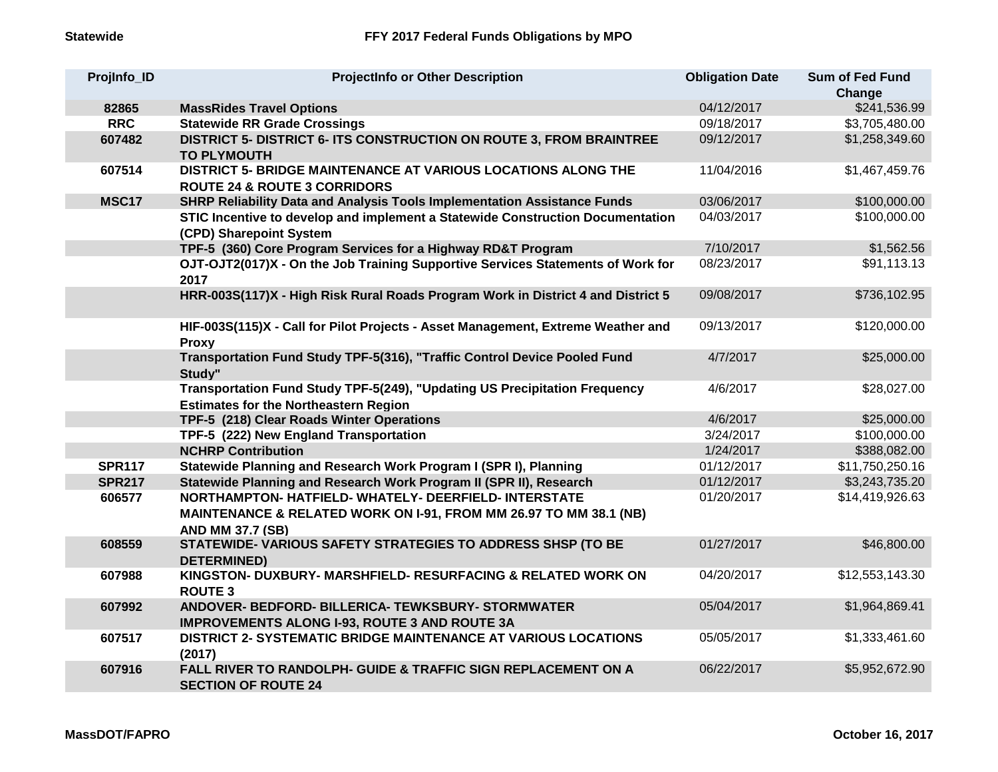| ProjInfo_ID   | <b>ProjectInfo or Other Description</b>                                                                                    | <b>Obligation Date</b> | <b>Sum of Fed Fund</b><br>Change |
|---------------|----------------------------------------------------------------------------------------------------------------------------|------------------------|----------------------------------|
| 82865         | <b>MassRides Travel Options</b>                                                                                            | 04/12/2017             | \$241,536.99                     |
| <b>RRC</b>    | <b>Statewide RR Grade Crossings</b>                                                                                        | 09/18/2017             | \$3,705,480.00                   |
| 607482        | DISTRICT 5- DISTRICT 6- ITS CONSTRUCTION ON ROUTE 3, FROM BRAINTREE<br><b>TO PLYMOUTH</b>                                  | 09/12/2017             | \$1,258,349.60                   |
| 607514        | DISTRICT 5- BRIDGE MAINTENANCE AT VARIOUS LOCATIONS ALONG THE<br><b>ROUTE 24 &amp; ROUTE 3 CORRIDORS</b>                   | 11/04/2016             | \$1,467,459.76                   |
| <b>MSC17</b>  | SHRP Reliability Data and Analysis Tools Implementation Assistance Funds                                                   | 03/06/2017             | \$100,000.00                     |
|               | STIC Incentive to develop and implement a Statewide Construction Documentation<br>(CPD) Sharepoint System                  | 04/03/2017             | \$100,000.00                     |
|               | TPF-5 (360) Core Program Services for a Highway RD&T Program                                                               | 7/10/2017              | \$1,562.56                       |
|               | OJT-OJT2(017)X - On the Job Training Supportive Services Statements of Work for<br>2017                                    | 08/23/2017             | \$91,113.13                      |
|               | HRR-003S(117)X - High Risk Rural Roads Program Work in District 4 and District 5                                           | 09/08/2017             | \$736,102.95                     |
|               | HIF-003S(115)X - Call for Pilot Projects - Asset Management, Extreme Weather and<br><b>Proxy</b>                           | 09/13/2017             | \$120,000.00                     |
|               | Transportation Fund Study TPF-5(316), "Traffic Control Device Pooled Fund<br>Study"                                        | 4/7/2017               | \$25,000.00                      |
|               | Transportation Fund Study TPF-5(249), "Updating US Precipitation Frequency<br><b>Estimates for the Northeastern Region</b> | 4/6/2017               | \$28,027.00                      |
|               | TPF-5 (218) Clear Roads Winter Operations                                                                                  | 4/6/2017               | \$25,000.00                      |
|               | TPF-5 (222) New England Transportation                                                                                     | 3/24/2017              | \$100,000.00                     |
|               | <b>NCHRP Contribution</b>                                                                                                  | 1/24/2017              | \$388,082.00                     |
| <b>SPR117</b> | Statewide Planning and Research Work Program I (SPR I), Planning                                                           | 01/12/2017             | \$11,750,250.16                  |
| <b>SPR217</b> | Statewide Planning and Research Work Program II (SPR II), Research                                                         | 01/12/2017             | \$3,243,735.20                   |
| 606577        | NORTHAMPTON-HATFIELD-WHATELY-DEERFIELD-INTERSTATE                                                                          | 01/20/2017             | \$14,419,926.63                  |
|               | MAINTENANCE & RELATED WORK ON I-91, FROM MM 26.97 TO MM 38.1 (NB)<br><b>AND MM 37.7 (SB)</b>                               |                        |                                  |
| 608559        | STATEWIDE- VARIOUS SAFETY STRATEGIES TO ADDRESS SHSP (TO BE<br><b>DETERMINED)</b>                                          | 01/27/2017             | \$46,800.00                      |
| 607988        | KINGSTON- DUXBURY- MARSHFIELD- RESURFACING & RELATED WORK ON<br><b>ROUTE 3</b>                                             | 04/20/2017             | \$12,553,143.30                  |
| 607992        | ANDOVER- BEDFORD- BILLERICA- TEWKSBURY- STORMWATER<br><b>IMPROVEMENTS ALONG I-93, ROUTE 3 AND ROUTE 3A</b>                 | 05/04/2017             | \$1,964,869.41                   |
| 607517        | <b>DISTRICT 2- SYSTEMATIC BRIDGE MAINTENANCE AT VARIOUS LOCATIONS</b><br>(2017)                                            | 05/05/2017             | \$1,333,461.60                   |
| 607916        | FALL RIVER TO RANDOLPH- GUIDE & TRAFFIC SIGN REPLACEMENT ON A<br><b>SECTION OF ROUTE 24</b>                                | 06/22/2017             | \$5,952,672.90                   |